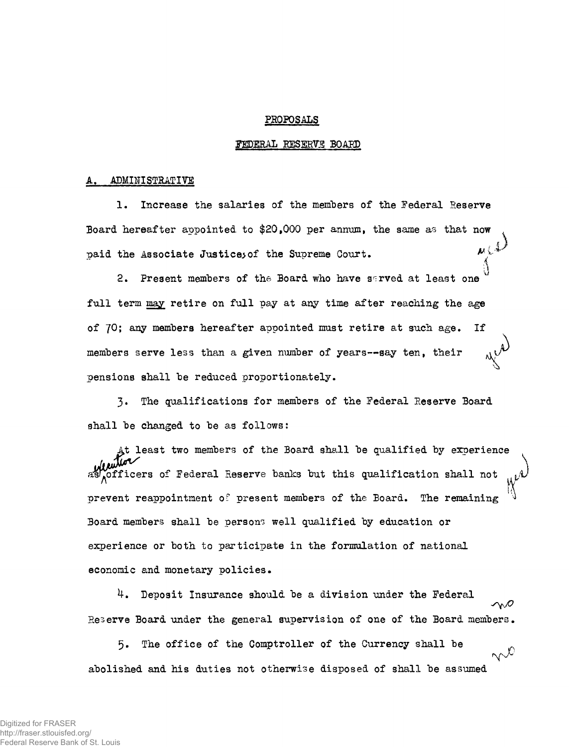## PROPOSALS

## FEDERAL RESERVE BOARD

## ADMINISTRATIVE

1, Increase the salaries of the members of the Federal Eeserve Board hereafter appointed to \$20,000 per annum, the same as that now paid the Associate Justices of the Supreme Court.  $M_{\psi}$ 

2. Present members of the Board who have sarved at least one full term may retire on full pay at any time after reaching the age of 70; any members hereafter appointed must retire at such age. If members serve less than a given number of years--say ten, their pensions shall be reduced proportionately.

3. The qualifications for members of the Federal Reserve Board shall be changed to be as follows:

At least two members of the Board shall be qualified by exoerience  $\delta$ fficers of Federal Reserve banks but this qualification shall not prevent reappointment 0? present members of the Board. The remaining Board members shall be persons well qualified by education or experience or both to participate in the formulation of national economic and monetary policies.

4. Deposit Insurance should be a division under the Federal wO Reserve Board under the general supervision of one of the Board members.

5. The office of the Comptroller of the Currency shall be  $\sim$ C abolished and his duties not otherwise disposed of shall be assumed